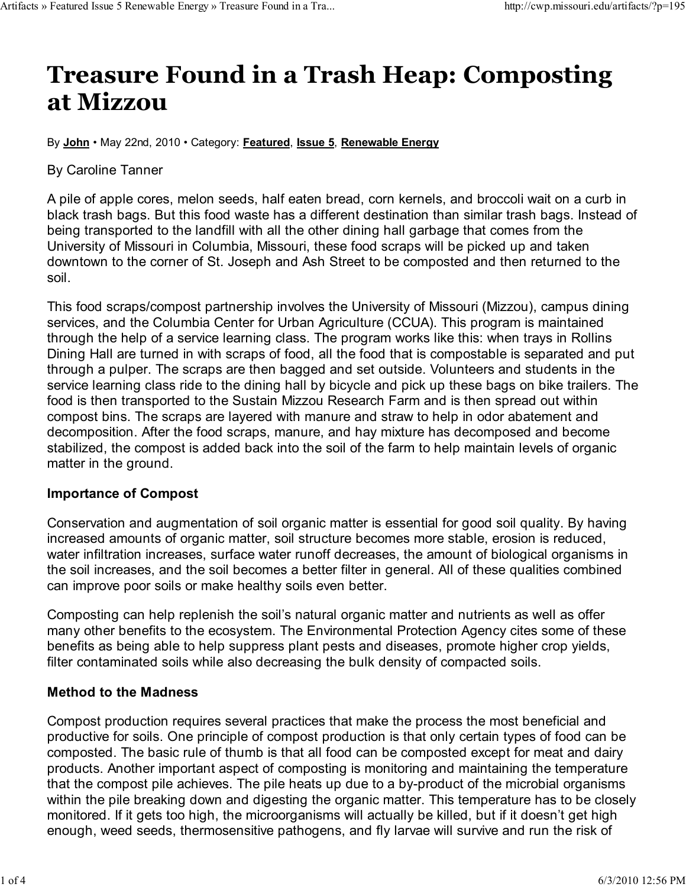# Treasure Found in a Trash Heap: Composting at Mizzou

By John • May 22nd, 2010 • Category: Featured, Issue 5, Renewable Energy

### By Caroline Tanner

A pile of apple cores, melon seeds, half eaten bread, corn kernels, and broccoli wait on a curb in black trash bags. But this food waste has a different destination than similar trash bags. Instead of being transported to the landfill with all the other dining hall garbage that comes from the University of Missouri in Columbia, Missouri, these food scraps will be picked up and taken downtown to the corner of St. Joseph and Ash Street to be composted and then returned to the soil.

This food scraps/compost partnership involves the University of Missouri (Mizzou), campus dining services, and the Columbia Center for Urban Agriculture (CCUA). This program is maintained through the help of a service learning class. The program works like this: when trays in Rollins Dining Hall are turned in with scraps of food, all the food that is compostable is separated and put through a pulper. The scraps are then bagged and set outside. Volunteers and students in the service learning class ride to the dining hall by bicycle and pick up these bags on bike trailers. The food is then transported to the Sustain Mizzou Research Farm and is then spread out within compost bins. The scraps are layered with manure and straw to help in odor abatement and decomposition. After the food scraps, manure, and hay mixture has decomposed and become stabilized, the compost is added back into the soil of the farm to help maintain levels of organic matter in the ground.

## Importance of Compost

Conservation and augmentation of soil organic matter is essential for good soil quality. By having increased amounts of organic matter, soil structure becomes more stable, erosion is reduced, water infiltration increases, surface water runoff decreases, the amount of biological organisms in the soil increases, and the soil becomes a better filter in general. All of these qualities combined can improve poor soils or make healthy soils even better.

Composting can help replenish the soil's natural organic matter and nutrients as well as offer many other benefits to the ecosystem. The Environmental Protection Agency cites some of these benefits as being able to help suppress plant pests and diseases, promote higher crop yields, filter contaminated soils while also decreasing the bulk density of compacted soils.

## Method to the Madness

Compost production requires several practices that make the process the most beneficial and productive for soils. One principle of compost production is that only certain types of food can be composted. The basic rule of thumb is that all food can be composted except for meat and dairy products. Another important aspect of composting is monitoring and maintaining the temperature that the compost pile achieves. The pile heats up due to a by-product of the microbial organisms within the pile breaking down and digesting the organic matter. This temperature has to be closely monitored. If it gets too high, the microorganisms will actually be killed, but if it doesn't get high enough, weed seeds, thermosensitive pathogens, and fly larvae will survive and run the risk of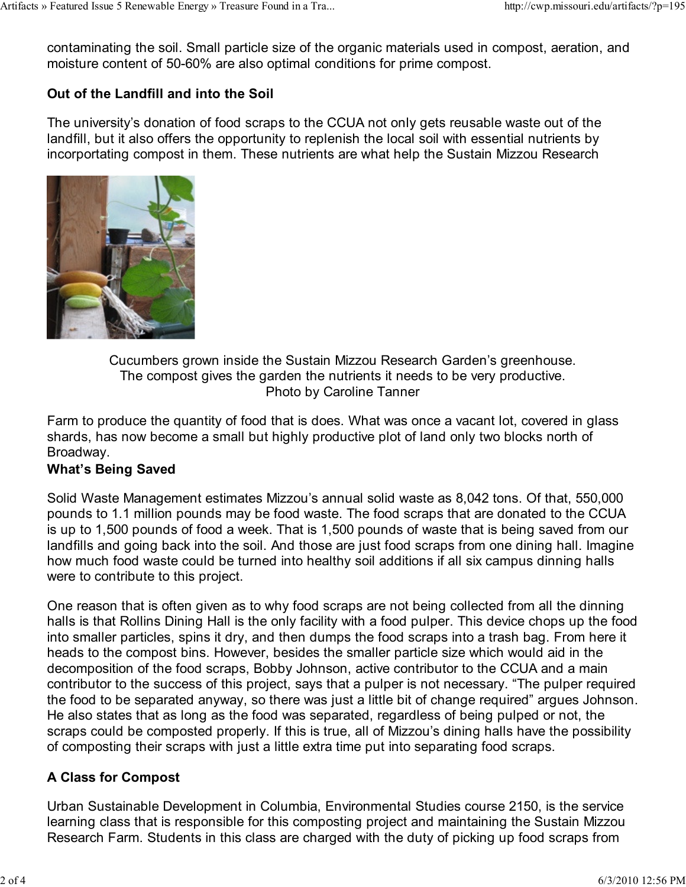contaminating the soil. Small particle size of the organic materials used in compost, aeration, and moisture content of 50-60% are also optimal conditions for prime compost.

#### Out of the Landfill and into the Soil

The university's donation of food scraps to the CCUA not only gets reusable waste out of the landfill, but it also offers the opportunity to replenish the local soil with essential nutrients by incorportating compost in them. These nutrients are what help the Sustain Mizzou Research



Cucumbers grown inside the Sustain Mizzou Research Garden's greenhouse. The compost gives the garden the nutrients it needs to be very productive. Photo by Caroline Tanner

Farm to produce the quantity of food that is does. What was once a vacant lot, covered in glass shards, has now become a small but highly productive plot of land only two blocks north of Broadway.

#### What's Being Saved

Solid Waste Management estimates Mizzou's annual solid waste as 8,042 tons. Of that, 550,000 pounds to 1.1 million pounds may be food waste. The food scraps that are donated to the CCUA is up to 1,500 pounds of food a week. That is 1,500 pounds of waste that is being saved from our landfills and going back into the soil. And those are just food scraps from one dining hall. Imagine how much food waste could be turned into healthy soil additions if all six campus dinning halls were to contribute to this project.

One reason that is often given as to why food scraps are not being collected from all the dinning halls is that Rollins Dining Hall is the only facility with a food pulper. This device chops up the food into smaller particles, spins it dry, and then dumps the food scraps into a trash bag. From here it heads to the compost bins. However, besides the smaller particle size which would aid in the decomposition of the food scraps, Bobby Johnson, active contributor to the CCUA and a main contributor to the success of this project, says that a pulper is not necessary. "The pulper required the food to be separated anyway, so there was just a little bit of change required" argues Johnson. He also states that as long as the food was separated, regardless of being pulped or not, the scraps could be composted properly. If this is true, all of Mizzou's dining halls have the possibility of composting their scraps with just a little extra time put into separating food scraps.

#### A Class for Compost

Urban Sustainable Development in Columbia, Environmental Studies course 2150, is the service learning class that is responsible for this composting project and maintaining the Sustain Mizzou Research Farm. Students in this class are charged with the duty of picking up food scraps from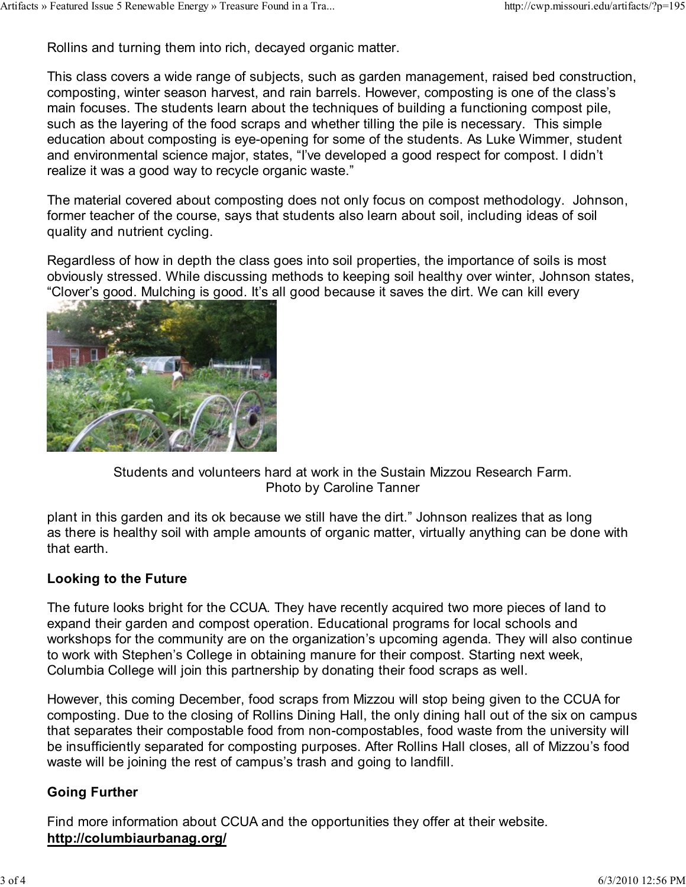Rollins and turning them into rich, decayed organic matter.

This class covers a wide range of subjects, such as garden management, raised bed construction, composting, winter season harvest, and rain barrels. However, composting is one of the class's main focuses. The students learn about the techniques of building a functioning compost pile, such as the layering of the food scraps and whether tilling the pile is necessary. This simple education about composting is eye-opening for some of the students. As Luke Wimmer, student and environmental science major, states, "I've developed a good respect for compost. I didn't realize it was a good way to recycle organic waste."

The material covered about composting does not only focus on compost methodology. Johnson, former teacher of the course, says that students also learn about soil, including ideas of soil quality and nutrient cycling.

Regardless of how in depth the class goes into soil properties, the importance of soils is most obviously stressed. While discussing methods to keeping soil healthy over winter, Johnson states, "Clover's good. Mulching is good. It's all good because it saves the dirt. We can kill every



Students and volunteers hard at work in the Sustain Mizzou Research Farm. Photo by Caroline Tanner

plant in this garden and its ok because we still have the dirt." Johnson realizes that as long as there is healthy soil with ample amounts of organic matter, virtually anything can be done with that earth.

#### Looking to the Future

The future looks bright for the CCUA. They have recently acquired two more pieces of land to expand their garden and compost operation. Educational programs for local schools and workshops for the community are on the organization's upcoming agenda. They will also continue to work with Stephen's College in obtaining manure for their compost. Starting next week, Columbia College will join this partnership by donating their food scraps as well.

However, this coming December, food scraps from Mizzou will stop being given to the CCUA for composting. Due to the closing of Rollins Dining Hall, the only dining hall out of the six on campus that separates their compostable food from non-compostables, food waste from the university will be insufficiently separated for composting purposes. After Rollins Hall closes, all of Mizzou's food waste will be joining the rest of campus's trash and going to landfill.

## Going Further

Find more information about CCUA and the opportunities they offer at their website. http://columbiaurbanag.org/